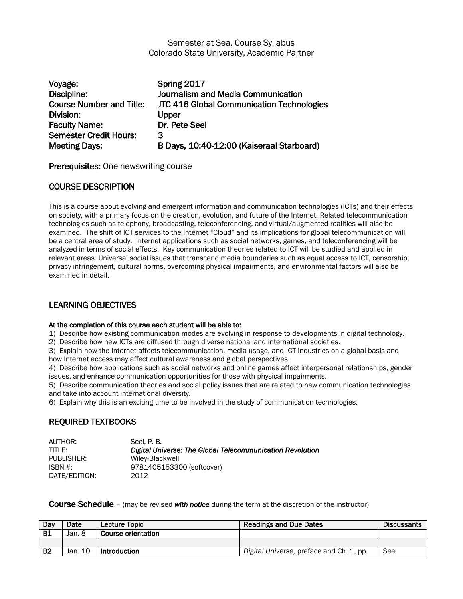### Semester at Sea, Course Syllabus Colorado State University, Academic Partner

| Voyage:                         | Spring 2017                               |
|---------------------------------|-------------------------------------------|
| Discipline:                     | Journalism and Media Communication        |
| <b>Course Number and Title:</b> | JTC 416 Global Communication Technologies |
| Division:                       | Upper                                     |
| <b>Faculty Name:</b>            | Dr. Pete Seel                             |
| <b>Semester Credit Hours:</b>   | 3                                         |
| <b>Meeting Days:</b>            | B Days, 10:40-12:00 (Kaiseraal Starboard) |

Prerequisites: One newswriting course

## COURSE DESCRIPTION

This is a course about evolving and emergent information and communication technologies (ICTs) and their effects on society, with a primary focus on the creation, evolution, and future of the Internet. Related telecommunication technologies such as telephony, broadcasting, teleconferencing, and virtual/augmented realities will also be examined. The shift of ICT services to the Internet "Cloud" and its implications for global telecommunication will be a central area of study. Internet applications such as social networks, games, and teleconferencing will be analyzed in terms of social effects. Key communication theories related to ICT will be studied and applied in relevant areas. Universal social issues that transcend media boundaries such as equal access to ICT, censorship, privacy infringement, cultural norms, overcoming physical impairments, and environmental factors will also be examined in detail.

## LEARNING OBJECTIVES

### At the completion of this course each student will be able to:

1) Describe how existing communication modes are evolving in response to developments in digital technology.

2) Describe how new ICTs are diffused through diverse national and international societies.

3) Explain how the Internet affects telecommunication, media usage, and ICT industries on a global basis and how Internet access may affect cultural awareness and global perspectives.

4) Describe how applications such as social networks and online games affect interpersonal relationships, gender issues, and enhance communication opportunities for those with physical impairments.

5) Describe communication theories and social policy issues that are related to new communication technologies and take into account international diversity.

6) Explain why this is an exciting time to be involved in the study of communication technologies.

## REQUIRED TEXTBOOKS

| AUTHOR:       | Seel. P. B.                                               |
|---------------|-----------------------------------------------------------|
| TITLE:        | Digital Universe: The Global Telecommunication Revolution |
| PUBLISHER:    | Wiley-Blackwell                                           |
| ISBN #:       | 9781405153300 (softcover)                                 |
| DATE/EDITION: | 2012                                                      |

Course Schedule – (may be revised *with notice* during the term at the discretion of the instructor)

| Dav       | Date    | Lecture Topic             | <b>Readings and Due Dates</b>            | <b>Discussants</b> |
|-----------|---------|---------------------------|------------------------------------------|--------------------|
| <b>B1</b> | Jan. 8  | <b>Course orientation</b> |                                          |                    |
|           |         |                           |                                          |                    |
| <b>B2</b> | Jan. 10 | Introduction              | Digital Universe, preface and Ch. 1, pp. | See                |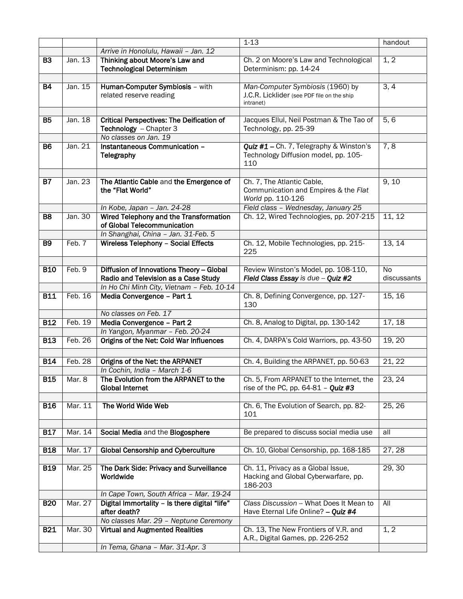|                  |         |                                                                            | $1 - 13$                                                                                    | handout     |
|------------------|---------|----------------------------------------------------------------------------|---------------------------------------------------------------------------------------------|-------------|
|                  |         | Arrive in Honolulu, Hawaii - Jan. 12                                       |                                                                                             |             |
| $\overline{B3}$  | Jan. 13 | Thinking about Moore's Law and<br><b>Technological Determinism</b>         | Ch. 2 on Moore's Law and Technological<br>Determinism: pp. 14-24                            | 1, 2        |
|                  |         |                                                                            |                                                                                             |             |
| B4               | Jan. 15 | Human-Computer Symbiosis - with<br>related reserve reading                 | Man-Computer Symbiosis (1960) by<br>J.C.R. Licklider (see PDF file on the ship<br>intranet) | 3, 4        |
|                  |         |                                                                            |                                                                                             |             |
| <b>B5</b>        | Jan. 18 | <b>Critical Perspectives: The Deification of</b><br>Technology - Chapter 3 | Jacques Ellul, Neil Postman & The Tao of<br>Technology, pp. 25-39                           | 5, 6        |
|                  |         | No classes on Jan. 19                                                      |                                                                                             |             |
| <b>B6</b>        | Jan. 21 | Instantaneous Communication -<br>Telegraphy                                | Quiz #1 - Ch. 7, Telegraphy & Winston's<br>Technology Diffusion model, pp. 105-<br>110      | 7,8         |
|                  |         |                                                                            |                                                                                             |             |
| <b>B7</b>        | Jan. 23 | The Atlantic Cable and the Emergence of<br>the "Flat World"                | Ch. 7, The Atlantic Cable,<br>Communication and Empires & the Flat<br>World pp. 110-126     | 9, 10       |
|                  |         | In Kobe, Japan - Jan. 24-28                                                | Field class - Wednesday, January 25                                                         |             |
| $\overline{B8}$  | Jan. 30 | Wired Telephony and the Transformation<br>of Global Telecommunication      | Ch. 12, Wired Technologies, pp. 207-215                                                     | 11, 12      |
|                  |         | In Shanghai, China - Jan. 31-Feb. 5                                        |                                                                                             |             |
| <b>B9</b>        | Feb. 7  | <b>Wireless Telephony - Social Effects</b>                                 | Ch. 12, Mobile Technologies, pp. 215-<br>225                                                | 13, 14      |
| <b>B10</b>       | Feb. 9  | Diffusion of Innovations Theory - Global                                   | Review Winston's Model, pp. 108-110,                                                        | No          |
|                  |         | Radio and Television as a Case Study                                       | Field Class Essay is due - Quiz #2                                                          | discussants |
|                  |         | In Ho Chi Minh City, Vietnam - Feb. 10-14                                  |                                                                                             |             |
| B11              | Feb. 16 | Media Convergence - Part 1                                                 | Ch. 8, Defining Convergence, pp. 127-<br>130                                                | 15, 16      |
|                  |         | No classes on Feb. 17                                                      |                                                                                             |             |
| <b>B12</b>       | Feb. 19 | Media Convergence - Part 2                                                 | Ch. 8, Analog to Digital, pp. 130-142                                                       | 17, 18      |
|                  |         | In Yangon, Myanmar - Feb. 20-24                                            |                                                                                             |             |
| B13              | Feb. 26 | Origins of the Net: Cold War Influences                                    | Ch. 4, DARPA's Cold Warriors, pp. 43-50                                                     | 19, 20      |
|                  |         |                                                                            |                                                                                             |             |
| <b>B14</b>       | Feb. 28 | Origins of the Net: the ARPANET                                            | Ch. 4, Building the ARPANET, pp. 50-63                                                      | 21, 22      |
|                  |         | In Cochin, India - March 1-6                                               |                                                                                             |             |
| <b>B15</b>       | Mar. 8  | The Evolution from the ARPANET to the<br><b>Global Internet</b>            | Ch. 5, From ARPANET to the Internet, the<br>rise of the PC, pp. $64-81 - Q$ uiz #3          | 23, 24      |
| <b>B16</b>       | Mar. 11 | The World Wide Web                                                         | Ch. 6, The Evolution of Search, pp. 82-<br>101                                              | 25, 26      |
|                  |         |                                                                            |                                                                                             |             |
| $\overline{B17}$ | Mar. 14 | Social Media and the Blogosphere                                           | Be prepared to discuss social media use                                                     | all         |
| <b>B18</b>       | Mar. 17 | <b>Global Censorship and Cyberculture</b>                                  | Ch. 10, Global Censorship, pp. 168-185                                                      | 27, 28      |
|                  |         |                                                                            |                                                                                             |             |
| <b>B19</b>       | Mar. 25 | The Dark Side: Privacy and Surveillance<br>Worldwide                       | Ch. 11, Privacy as a Global Issue,<br>Hacking and Global Cyberwarfare, pp.<br>186-203       | 29, 30      |
|                  |         | In Cape Town, South Africa - Mar. 19-24                                    |                                                                                             |             |
| <b>B20</b>       | Mar. 27 | Digital Immortality - Is there digital "life"<br>after death?              | Class Discussion -- What Does It Mean to<br>Have Eternal Life Online? - Quiz #4             | All         |
|                  |         | No classes Mar. 29 - Neptune Ceremony                                      |                                                                                             |             |
| <b>B21</b>       | Mar. 30 | <b>Virtual and Augmented Realities</b>                                     | Ch. 13, The New Frontiers of V.R. and<br>A.R., Digital Games, pp. 226-252                   | 1, 2        |
|                  |         | In Tema, Ghana - Mar. 31-Apr. 3                                            |                                                                                             |             |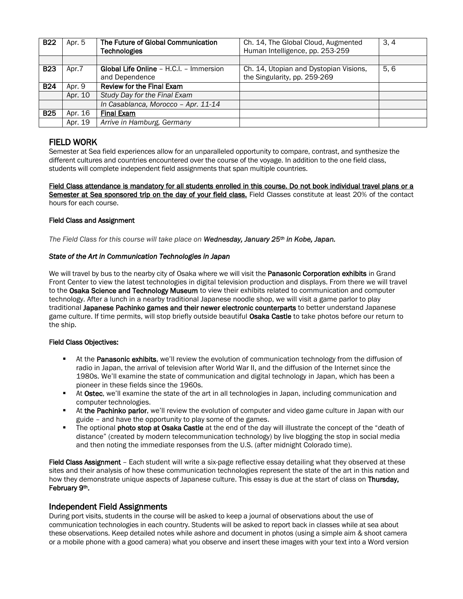| <b>B22</b> | Apr. 5  | The Future of Global Communication<br><b>Technologies</b>        | Ch. 14, The Global Cloud, Augmented<br>Human Intelligence, pp. 253-259 | 3, 4 |
|------------|---------|------------------------------------------------------------------|------------------------------------------------------------------------|------|
|            |         |                                                                  |                                                                        |      |
| <b>B23</b> | Apr.7   | <b>Global Life Online - H.C.I. - Immersion</b><br>and Dependence | Ch. 14, Utopian and Dystopian Visions,<br>the Singularity, pp. 259-269 | 5.6  |
| <b>B24</b> | Apr. 9  | <b>Review for the Final Exam</b>                                 |                                                                        |      |
|            | Apr. 10 | Study Day for the Final Exam                                     |                                                                        |      |
|            |         | In Casablanca, Morocco - Apr. 11-14                              |                                                                        |      |
| <b>B25</b> | Apr. 16 | <b>Final Exam</b>                                                |                                                                        |      |
|            | Apr. 19 | Arrive in Hamburg, Germany                                       |                                                                        |      |
|            |         |                                                                  |                                                                        |      |

## FIELD WORK

Semester at Sea field experiences allow for an unparalleled opportunity to compare, contrast, and synthesize the different cultures and countries encountered over the course of the voyage. In addition to the one field class, students will complete independent field assignments that span multiple countries.

Field Class attendance is mandatory for all students enrolled in this course. Do not book individual travel plans or a Semester at Sea sponsored trip on the day of your field class. Field Classes constitute at least 20% of the contact hours for each course.

### Field Class and Assignment

*The Field Class for this course will take place on Wednesday, January 25th in Kobe, Japan.*

### *State of the Art in Communication Technologies in Japan*

We will travel by bus to the nearby city of Osaka where we will visit the Panasonic Corporation exhibits in Grand Front Center to view the latest technologies in digital television production and displays. From there we will travel to the Osaka Science and Technology Museum to view their exhibits related to communication and computer technology. After a lunch in a nearby traditional Japanese noodle shop, we will visit a game parlor to play traditional Japanese Pachinko games and their newer electronic counterparts to better understand Japanese game culture. If time permits, will stop briefly outside beautiful Osaka Castle to take photos before our return to the ship.

### Field Class Objectives:

- **At the Panasonic exhibits,** we'll review the evolution of communication technology from the diffusion of radio in Japan, the arrival of television after World War II, and the diffusion of the Internet since the 1980s. We'll examine the state of communication and digital technology in Japan, which has been a pioneer in these fields since the 1960s.
- At Ostec, we'll examine the state of the art in all technologies in Japan, including communication and computer technologies.
- At the Pachinko parlor, we'll review the evolution of computer and video game culture in Japan with our guide – and have the opportunity to play some of the games.
- The optional photo stop at Osaka Castle at the end of the day will illustrate the concept of the "death of distance" (created by modern telecommunication technology) by live blogging the stop in social media and then noting the immediate responses from the U.S. (after midnight Colorado time).

Field Class Assignment - Each student will write a six-page reflective essay detailing what they observed at these sites and their analysis of how these communication technologies represent the state of the art in this nation and how they demonstrate unique aspects of Japanese culture. This essay is due at the start of class on Thursday, February 9th.

### Independent Field Assignments

During port visits, students in the course will be asked to keep a journal of observations about the use of communication technologies in each country. Students will be asked to report back in classes while at sea about these observations. Keep detailed notes while ashore and document in photos (using a simple aim & shoot camera or a mobile phone with a good camera) what you observe and insert these images with your text into a Word version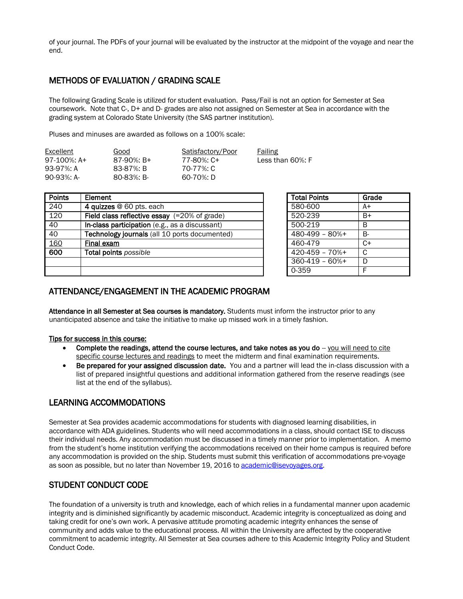of your journal. The PDFs of your journal will be evaluated by the instructor at the midpoint of the voyage and near the end.

## METHODS OF EVALUATION / GRADING SCALE

The following Grading Scale is utilized for student evaluation. Pass/Fail is not an option for Semester at Sea coursework. Note that C-, D+ and D- grades are also not assigned on Semester at Sea in accordance with the grading system at Colorado State University (the SAS partner institution).

Pluses and minuses are awarded as follows on a 100% scale:

| Excellent     | Good           | Satisfactory/Poor | Failing              |
|---------------|----------------|-------------------|----------------------|
| 97-100%: $A+$ | $87-90\%$ : B+ | 77-80%: C+        | Less than $60\%$ : F |
| 93-97%: A     | 83-87%: B      | 70-77%: C         |                      |
| 90-93%: A-    | $80-83\%$ : B- | 60-70%: D         |                      |

| <b>Points</b> | Element                                                 | <b>Total Points</b> | Grade |
|---------------|---------------------------------------------------------|---------------------|-------|
| 240           | 4 quizzes @ 60 pts. each                                | 580-600             | $A+$  |
| 120           | Field class reflective essay $(=20\% \text{ of grade})$ | 520-239             | $B+$  |
| 40            | In-class participation (e.g., as a discussant)          | 500-219             | B     |
| 40            | Technology journals (all 10 ports documented)           | $480-499 - 80% +$   | B-    |
| 160           | Final exam                                              | 460-479             | $C+$  |
| 600           | Total points possible                                   | $420 - 459 - 70% +$ | C     |
|               |                                                         | $360-419 - 60% +$   | D     |
|               |                                                         | 0-359               | F     |

| <b>Total Points</b> | Grade |
|---------------------|-------|
| 580-600             | A+    |
| 520-239             | B+    |
| 500-219             | R     |
| $480-499 - 80%$ +   | B-    |
| 460-479             | C+    |
| $420 - 459 - 70%$   | C     |
| $360-419 - 60%$ +   | D     |
| 0-359               | F     |

### ATTENDANCE/ENGAGEMENT IN THE ACADEMIC PROGRAM

Attendance in all Semester at Sea courses is mandatory. Students must inform the instructor prior to any unanticipated absence and take the initiative to make up missed work in a timely fashion.

### Tips for success in this course:

- Complete the readings, attend the course lectures, and take notes as you do  $-$  you will need to cite specific course lectures and readings to meet the midterm and final examination requirements.
- Be prepared for your assigned discussion date. You and a partner will lead the in-class discussion with a list of prepared insightful questions and additional information gathered from the reserve readings (see list at the end of the syllabus).

## LEARNING ACCOMMODATIONS

Semester at Sea provides academic accommodations for students with diagnosed learning disabilities, in accordance with ADA guidelines. Students who will need accommodations in a class, should contact ISE to discuss their individual needs. Any accommodation must be discussed in a timely manner prior to implementation. A memo from the student's home institution verifying the accommodations received on their home campus is required before any accommodation is provided on the ship. Students must submit this verification of accommodations pre-voyage as soon as possible, but no later than November 19, 2016 to [academic@isevoyages.org.](mailto:academic@isevoyages.org)

## STUDENT CONDUCT CODE

The foundation of a university is truth and knowledge, each of which relies in a fundamental manner upon academic integrity and is diminished significantly by academic misconduct. Academic integrity is conceptualized as doing and taking credit for one's own work. A pervasive attitude promoting academic integrity enhances the sense of community and adds value to the educational process. All within the University are affected by the cooperative commitment to academic integrity. All Semester at Sea courses adhere to this Academic Integrity Policy and Student Conduct Code.